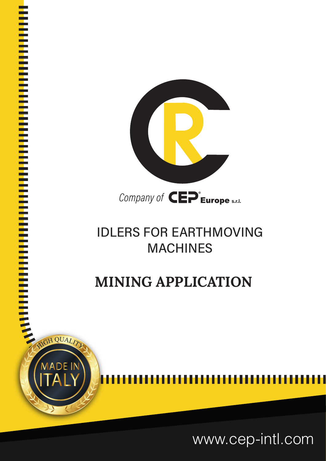

### **IDLERS FOR EARTHMOVING MACHINES**

## **MINING APPLICATION**

<sup>I</sup> <sup>I</sup> <sup>I</sup> <sup>I</sup> <sup>I</sup> <sup>I</sup> <sup>I</sup> <sup>I</sup> <sup>I</sup> <sup>I</sup> <sup>I</sup> <sup>I</sup> <sup>I</sup> <sup>I</sup> <sup>I</sup> <sup>I</sup> <sup>I</sup> <sup>I</sup> <sup>I</sup> <sup>I</sup> <sup>I</sup> <sup>I</sup> <sup>I</sup> <sup>I</sup> <sup>I</sup> <sup>I</sup> <sup>I</sup> <sup>I</sup> <sup>I</sup> <sup>I</sup> <sup>I</sup> <sup>I</sup> <sup>I</sup> <sup>I</sup> <sup>I</sup> <sup>I</sup> <sup>I</sup> <sup>I</sup> <sup>I</sup> <sup>I</sup> <sup>I</sup> <sup>I</sup> <sup>I</sup> <sup>I</sup> <sup>I</sup> <sup>I</sup> <sup>I</sup> <sup>I</sup> <sup>I</sup> <sup>I</sup> <sup>I</sup> <sup>I</sup> <sup>I</sup> <sup>I</sup> <sup>I</sup> <sup>I</sup> <sup>I</sup>

**I In the United States In the United States** 

I I I I I I I I I I I I I I I I I I I I I I I I I I I I I I I I I I I I I I I I I I I I I I I I I I I I I I I I